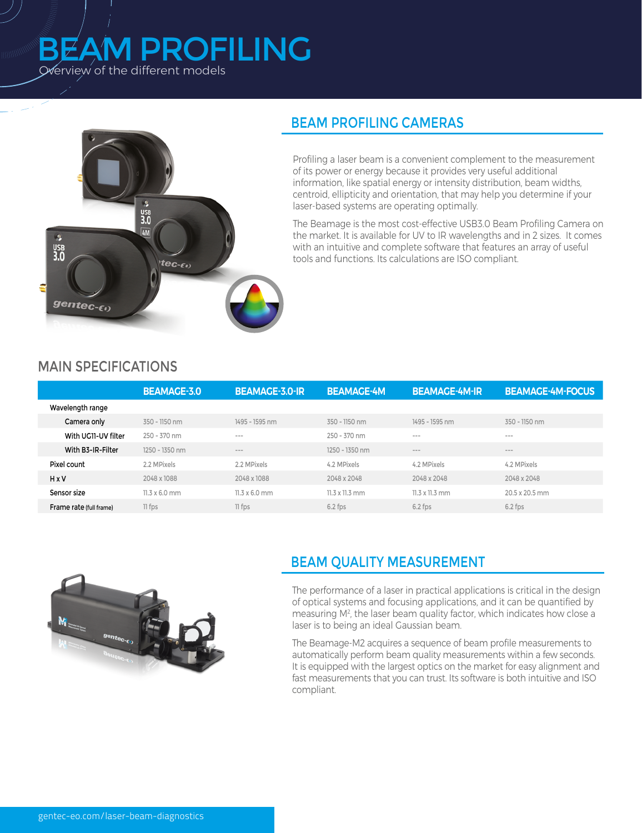# Overview of the different models BEAM PROFILING



# BEAM PROFILING CAMERAS

Profiling a laser beam is a convenient complement to the measurement of its power or energy because it provides very useful additional information, like spatial energy or intensity distribution, beam widths, centroid, ellipticity and orientation, that may help you determine if your laser-based systems are operating optimally.

The Beamage is the most cost-effective USB3.0 Beam Profiling Camera on the market. It is available for UV to IR wavelengths and in 2 sizes. It comes with an intuitive and complete software that features an array of useful tools and functions. Its calculations are ISO compliant.

#### MAIN SPECIFICATIONS

|                         | <b>BEAMAGE-3.0</b>   | <b>BEAMAGE-3.0-IR</b> | <b>BEAMAGE-4M</b>             | <b>BEAMAGE-4M-IR</b>   | <b>BEAMAGE-4M-FOCUS</b> |
|-------------------------|----------------------|-----------------------|-------------------------------|------------------------|-------------------------|
| Wavelength range        |                      |                       |                               |                        |                         |
| Camera only             | 350 - 1150 nm        | 1495 - 1595 nm        | 350 - 1150 nm                 | 1495 - 1595 nm         | 350 - 1150 nm           |
| With UG11-UV filter     | 250 - 370 nm         | $\cdots$              | 250 - 370 nm                  | $\cdots \cdots \cdots$ | $- - -$                 |
| With B3-IR-Filter       | 1250 - 1350 nm       | $\cdots$              | 1250 - 1350 nm                | $\cdots$               | $\cdots$                |
| Pixel count             | 2.2 MPixels          | 2.2 MPixels           | 4.2 MPixels                   | 4.2 MPixels            | 4.2 MPixels             |
| <b>HxV</b>              | 2048 x 1088          | 2048 x 1088           | 2048 x 2048                   | 2048 x 2048            | 2048 x 2048             |
| Sensor size             | $11.3 \times 6.0$ mm | $11.3 \times 6.0$ mm  | $11.3 \times 11.3 \text{ mm}$ | 11.3 x 11.3 mm         | 20.5 x 20.5 mm          |
| Frame rate (full frame) | 11 fps               | 11 fps                | $6.2$ fps                     | $6.2$ fps              | $6.2$ fps               |



# BEAM QUALITY MEASUREMENT

The performance of a laser in practical applications is critical in the design of optical systems and focusing applications, and it can be quantified by measuring M2 , the laser beam quality factor, which indicates how close a laser is to being an ideal Gaussian beam.

The Beamage-M2 acquires a sequence of beam profile measurements to automatically perform beam quality measurements within a few seconds. It is equipped with the largest optics on the market for easy alignment and fast measurements that you can trust. Its software is both intuitive and ISO compliant.